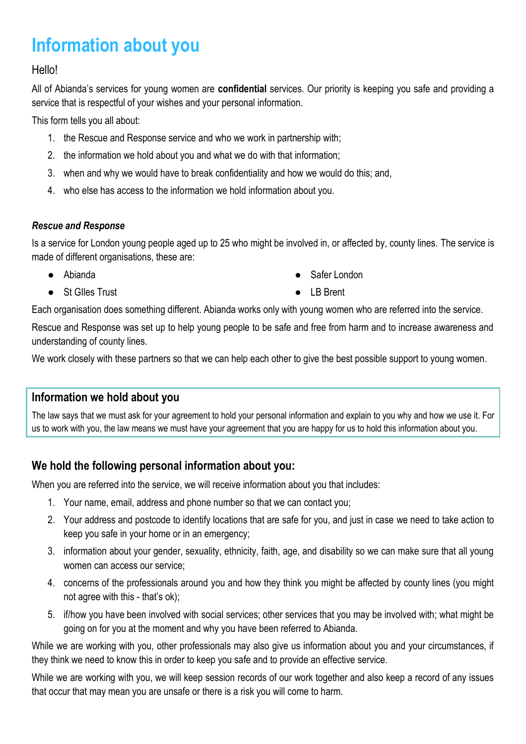# **Information about you**

#### Hello!

All of Abianda's services for young women are **confidential** services. Our priority is keeping you safe and providing a service that is respectful of your wishes and your personal information.

This form tells you all about:

- 1. the Rescue and Response service and who we work in partnership with;
- 2. the information we hold about you and what we do with that information;
- 3. when and why we would have to break confidentiality and how we would do this; and,
- 4. who else has access to the information we hold information about you.

#### *Rescue and Response*

Is a service for London young people aged up to 25 who might be involved in, or affected by, county lines. The service is made of different organisations, these are:

- Abianda
- St Glles Trust
- Safer London
- LB Brent

Each organisation does something different. Abianda works only with young women who are referred into the service.

Rescue and Response was set up to help young people to be safe and free from harm and to increase awareness and understanding of county lines.

We work closely with these partners so that we can help each other to give the best possible support to young women.

## **Information we hold about you**

The law says that we must ask for your agreement to hold your personal information and explain to you why and how we use it. For us to work with you, the law means we must have your agreement that you are happy for us to hold this information about you.

# **We hold the following personal information about you:**

When you are referred into the service, we will receive information about you that includes:

- 1. Your name, email, address and phone number so that we can contact you;
- 2. Your address and postcode to identify locations that are safe for you, and just in case we need to take action to keep you safe in your home or in an emergency;
- 3. information about your gender, sexuality, ethnicity, faith, age, and disability so we can make sure that all young women can access our service;
- 4. concerns of the professionals around you and how they think you might be affected by county lines (you might not agree with this - that's ok);
- 5. if/how you have been involved with social services; other services that you may be involved with; what might be going on for you at the moment and why you have been referred to Abianda.

While we are working with you, other professionals may also give us information about you and your circumstances, if they think we need to know this in order to keep you safe and to provide an effective service.

While we are working with you, we will keep session records of our work together and also keep a record of any issues that occur that may mean you are unsafe or there is a risk you will come to harm.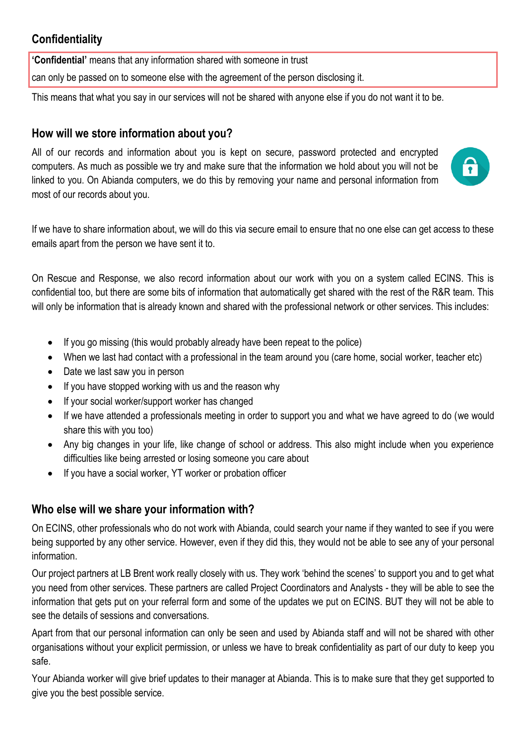# **Confidentiality**

**'Confidential'** means that any information shared with someone in trust

can only be passed on to someone else with the agreement of the person disclosing it.

This means that what you say in our services will not be shared with anyone else if you do not want it to be.

## **How will we store information about you?**

All of our records and information about you is kept on secure, password protected and encrypted computers. As much as possible we try and make sure that the information we hold about you will not be linked to you. On Abianda computers, we do this by removing your name and personal information from most of our records about you.



If we have to share information about, we will do this via secure email to ensure that no one else can get access to these emails apart from the person we have sent it to.

On Rescue and Response, we also record information about our work with you on a system called ECINS. This is confidential too, but there are some bits of information that automatically get shared with the rest of the R&R team. This will only be information that is already known and shared with the professional network or other services. This includes:

- If you go missing (this would probably already have been repeat to the police)
- When we last had contact with a professional in the team around you (care home, social worker, teacher etc)
- Date we last saw you in person
- If you have stopped working with us and the reason why
- If your social worker/support worker has changed
- If we have attended a professionals meeting in order to support you and what we have agreed to do (we would share this with you too)
- Any big changes in your life, like change of school or address. This also might include when you experience difficulties like being arrested or losing someone you care about
- If you have a social worker, YT worker or probation officer

## **Who else will we share your information with?**

On ECINS, other professionals who do not work with Abianda, could search your name if they wanted to see if you were being supported by any other service. However, even if they did this, they would not be able to see any of your personal information.

Our project partners at LB Brent work really closely with us. They work 'behind the scenes' to support you and to get what you need from other services. These partners are called Project Coordinators and Analysts - they will be able to see the information that gets put on your referral form and some of the updates we put on ECINS. BUT they will not be able to see the details of sessions and conversations.

Apart from that our personal information can only be seen and used by Abianda staff and will not be shared with other organisations without your explicit permission, or unless we have to break confidentiality as part of our duty to keep you safe.

Your Abianda worker will give brief updates to their manager at Abianda. This is to make sure that they get supported to give you the best possible service.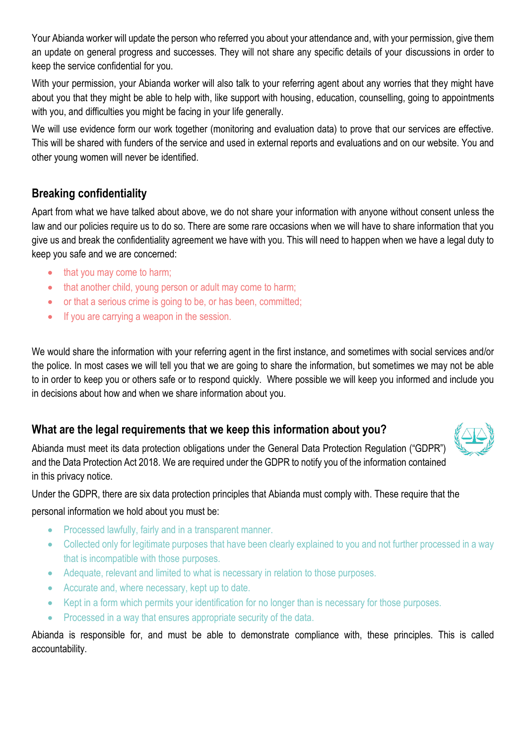Your Abianda worker will update the person who referred you about your attendance and, with your permission, give them an update on general progress and successes. They will not share any specific details of your discussions in order to keep the service confidential for you.

With your permission, your Abianda worker will also talk to your referring agent about any worries that they might have about you that they might be able to help with, like support with housing, education, counselling, going to appointments with you, and difficulties you might be facing in your life generally.

We will use evidence form our work together (monitoring and evaluation data) to prove that our services are effective. This will be shared with funders of the service and used in external reports and evaluations and on our website. You and other young women will never be identified.

# **Breaking confidentiality**

Apart from what we have talked about above, we do not share your information with anyone without consent unless the law and our policies require us to do so. There are some rare occasions when we will have to share information that you give us and break the confidentiality agreement we have with you. This will need to happen when we have a legal duty to keep you safe and we are concerned:

- that you may come to harm;
- that another child, young person or adult may come to harm;
- or that a serious crime is going to be, or has been, committed;
- If you are carrying a weapon in the session.

We would share the information with your referring agent in the first instance, and sometimes with social services and/or the police. In most cases we will tell you that we are going to share the information, but sometimes we may not be able to in order to keep you or others safe or to respond quickly. Where possible we will keep you informed and include you in decisions about how and when we share information about you.

# **What are the legal requirements that we keep this information about you?**



Abianda must meet its data protection obligations under the General Data Protection Regulation ("GDPR") and the Data Protection Act 2018. We are required under the GDPR to notify you of the information contained in this privacy notice.

Under the GDPR, there are six data protection principles that Abianda must comply with. These require that the personal information we hold about you must be:

- Processed lawfully, fairly and in a transparent manner.
- Collected only for legitimate purposes that have been clearly explained to you and not further processed in a way that is incompatible with those purposes.
- Adequate, relevant and limited to what is necessary in relation to those purposes.
- Accurate and, where necessary, kept up to date.
- Kept in a form which permits your identification for no longer than is necessary for those purposes.
- Processed in a way that ensures appropriate security of the data.

Abianda is responsible for, and must be able to demonstrate compliance with, these principles. This is called accountability.